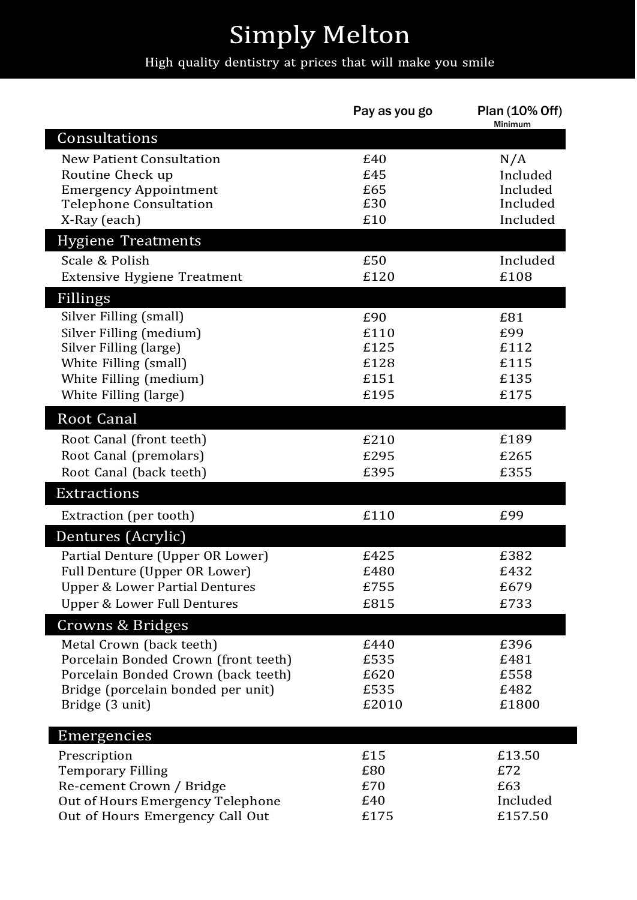## **Simply Melton**

## High quality dentistry at prices that will make you smile

|                                           | Pay as you go | Plan (10% Off)<br>Minimum |
|-------------------------------------------|---------------|---------------------------|
| Consultations                             |               |                           |
| New Patient Consultation                  | £40           | N/A                       |
| Routine Check up                          | £45           | Included                  |
| <b>Emergency Appointment</b>              | £65           | Included                  |
| <b>Telephone Consultation</b>             | £30           | Included                  |
| X-Ray (each)                              | £10           | Included                  |
| <b>Hygiene Treatments</b>                 |               |                           |
| Scale & Polish                            | £50           | Included                  |
| Extensive Hygiene Treatment               | £120          | £108                      |
| Fillings                                  |               |                           |
| Silver Filling (small)                    | £90           | £81                       |
| Silver Filling (medium)                   | £110          | £99                       |
| Silver Filling (large)                    | £125          | £112                      |
| White Filling (small)                     | £128          | £115                      |
| White Filling (medium)                    | £151          | £135                      |
| White Filling (large)                     | £195          | £175                      |
| <b>Root Canal</b>                         |               |                           |
| Root Canal (front teeth)                  | £210          | £189                      |
| Root Canal (premolars)                    | £295          | £265                      |
| Root Canal (back teeth)                   | £395          | £355                      |
| <b>Extractions</b>                        |               |                           |
| Extraction (per tooth)                    | £110          | £99                       |
| Dentures (Acrylic)                        |               |                           |
| Partial Denture (Upper OR Lower)          | £425          | £382                      |
| Full Denture (Upper OR Lower)             | £480          | £432                      |
| <b>Upper &amp; Lower Partial Dentures</b> | £755          | £679                      |
| <b>Upper &amp; Lower Full Dentures</b>    | £815          | £733                      |
| Crowns & Bridges                          |               |                           |
| Metal Crown (back teeth)                  | £440          | £396                      |
| Porcelain Bonded Crown (front teeth)      | £535          | £481                      |
| Porcelain Bonded Crown (back teeth)       | £620          | £558                      |
| Bridge (porcelain bonded per unit)        | £535          | £482                      |
| Bridge (3 unit)                           | £2010         | £1800                     |
| Emergencies                               |               |                           |
| Prescription                              | £15           | £13.50                    |
| <b>Temporary Filling</b>                  | £80           | £72                       |
| Re-cement Crown / Bridge                  | £70           | £63                       |
| Out of Hours Emergency Telephone          | £40           | Included                  |
| Out of Hours Emergency Call Out           | £175          | £157.50                   |